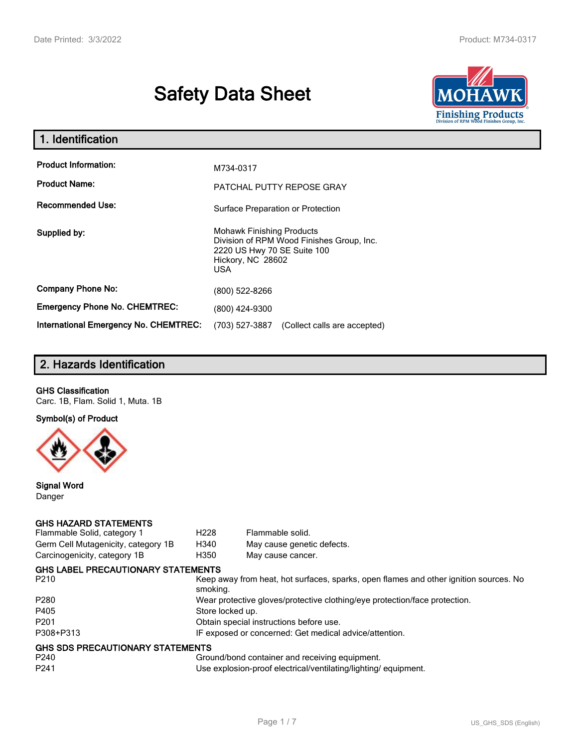# **Safety Data Sheet**



| 1. Identification                                   |                                                                                                                                          |
|-----------------------------------------------------|------------------------------------------------------------------------------------------------------------------------------------------|
| <b>Product Information:</b><br><b>Product Name:</b> | M734-0317                                                                                                                                |
| <b>Recommended Use:</b>                             | PATCHAL PUTTY REPOSE GRAY<br>Surface Preparation or Protection                                                                           |
| Supplied by:                                        | <b>Mohawk Finishing Products</b><br>Division of RPM Wood Finishes Group, Inc.<br>2220 US Hwy 70 SE Suite 100<br>Hickory, NC 28602<br>USA |
| <b>Company Phone No:</b>                            | (800) 522-8266                                                                                                                           |
| <b>Emergency Phone No. CHEMTREC:</b>                | (800) 424-9300                                                                                                                           |
| International Emergency No. CHEMTREC:               | (703) 527-3887<br>(Collect calls are accepted)                                                                                           |

# **2. Hazards Identification**

## **GHS Classification**

Carc. 1B, Flam. Solid 1, Muta. 1B

**Symbol(s) of Product**



**Signal Word** Danger

#### **GHS HAZARD STATEMENTS**

| Flammable Solid, category 1         | H <sub>228</sub>                                                           | Flammable solid.                                                                      |  |
|-------------------------------------|----------------------------------------------------------------------------|---------------------------------------------------------------------------------------|--|
| Germ Cell Mutagenicity, category 1B | H340                                                                       | May cause genetic defects.                                                            |  |
| Carcinogenicity, category 1B        | H350                                                                       | May cause cancer.                                                                     |  |
| GHS LABEL PRECAUTIONARY STATEMENTS  |                                                                            |                                                                                       |  |
| P210                                | smoking.                                                                   | Keep away from heat, hot surfaces, sparks, open flames and other ignition sources. No |  |
| P280                                | Wear protective gloves/protective clothing/eye protection/face protection. |                                                                                       |  |
| P405                                | Store locked up.                                                           |                                                                                       |  |
| P201                                | Obtain special instructions before use.                                    |                                                                                       |  |
| P308+P313                           |                                                                            | IF exposed or concerned: Get medical advice/attention.                                |  |
| GHS SDS PRECAUTIONARY STATEMENTS    |                                                                            |                                                                                       |  |
| P240                                |                                                                            | Ground/bond container and receiving equipment.                                        |  |
| P241                                |                                                                            | Use explosion-proof electrical/ventilating/lighting/equipment.                        |  |
|                                     |                                                                            |                                                                                       |  |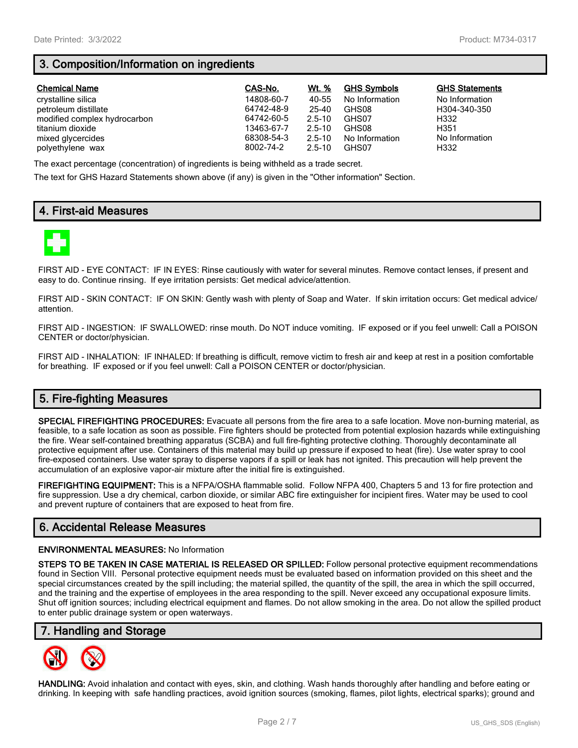# **3. Composition/Information on ingredients**

| <b>Chemical Name</b>         | CAS-No.    | Wt. %      | <b>GHS Symbols</b> | <b>GHS Statements</b> |
|------------------------------|------------|------------|--------------------|-----------------------|
| crystalline silica           | 14808-60-7 | 40-55      | No Information     | No Information        |
| petroleum distillate         | 64742-48-9 | 25-40      | GHS08              | H304-340-350          |
| modified complex hydrocarbon | 64742-60-5 | $2.5 - 10$ | GHS07              | H332                  |
| titanium dioxide             | 13463-67-7 | $2.5 - 10$ | GHS08              | H351                  |
| mixed glycercides            | 68308-54-3 | $2.5 - 10$ | No Information     | No Information        |
| polyethylene wax             | 8002-74-2  | $2.5 - 10$ | GHS07              | H332                  |

The exact percentage (concentration) of ingredients is being withheld as a trade secret.

The text for GHS Hazard Statements shown above (if any) is given in the "Other information" Section.

# **4. First-aid Measures**



FIRST AID - EYE CONTACT: IF IN EYES: Rinse cautiously with water for several minutes. Remove contact lenses, if present and easy to do. Continue rinsing. If eye irritation persists: Get medical advice/attention.

FIRST AID - SKIN CONTACT: IF ON SKIN: Gently wash with plenty of Soap and Water. If skin irritation occurs: Get medical advice/ attention.

FIRST AID - INGESTION: IF SWALLOWED: rinse mouth. Do NOT induce vomiting. IF exposed or if you feel unwell: Call a POISON CENTER or doctor/physician.

FIRST AID - INHALATION: IF INHALED: If breathing is difficult, remove victim to fresh air and keep at rest in a position comfortable for breathing. IF exposed or if you feel unwell: Call a POISON CENTER or doctor/physician.

# **5. Fire-fighting Measures**

**SPECIAL FIREFIGHTING PROCEDURES:** Evacuate all persons from the fire area to a safe location. Move non-burning material, as feasible, to a safe location as soon as possible. Fire fighters should be protected from potential explosion hazards while extinguishing the fire. Wear self-contained breathing apparatus (SCBA) and full fire-fighting protective clothing. Thoroughly decontaminate all protective equipment after use. Containers of this material may build up pressure if exposed to heat (fire). Use water spray to cool fire-exposed containers. Use water spray to disperse vapors if a spill or leak has not ignited. This precaution will help prevent the accumulation of an explosive vapor-air mixture after the initial fire is extinguished.

**FIREFIGHTING EQUIPMENT:** This is a NFPA/OSHA flammable solid. Follow NFPA 400, Chapters 5 and 13 for fire protection and fire suppression. Use a dry chemical, carbon dioxide, or similar ABC fire extinguisher for incipient fires. Water may be used to cool and prevent rupture of containers that are exposed to heat from fire.

## **6. Accidental Release Measures**

#### **ENVIRONMENTAL MEASURES:** No Information

**STEPS TO BE TAKEN IN CASE MATERIAL IS RELEASED OR SPILLED:** Follow personal protective equipment recommendations found in Section VIII. Personal protective equipment needs must be evaluated based on information provided on this sheet and the special circumstances created by the spill including; the material spilled, the quantity of the spill, the area in which the spill occurred, and the training and the expertise of employees in the area responding to the spill. Never exceed any occupational exposure limits. Shut off ignition sources; including electrical equipment and flames. Do not allow smoking in the area. Do not allow the spilled product to enter public drainage system or open waterways.

## **7. Handling and Storage**



**HANDLING:** Avoid inhalation and contact with eyes, skin, and clothing. Wash hands thoroughly after handling and before eating or drinking. In keeping with safe handling practices, avoid ignition sources (smoking, flames, pilot lights, electrical sparks); ground and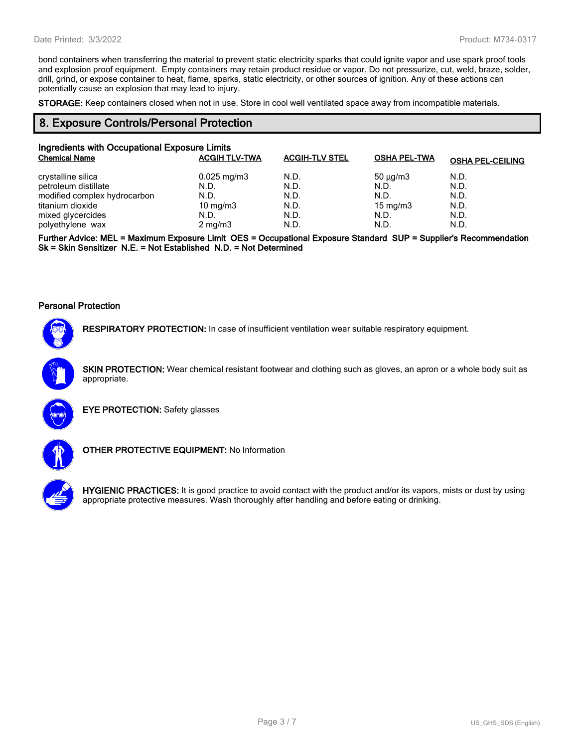bond containers when transferring the material to prevent static electricity sparks that could ignite vapor and use spark proof tools and explosion proof equipment. Empty containers may retain product residue or vapor. Do not pressurize, cut, weld, braze, solder, drill, grind, or expose container to heat, flame, sparks, static electricity, or other sources of ignition. Any of these actions can potentially cause an explosion that may lead to injury.

**STORAGE:** Keep containers closed when not in use. Store in cool well ventilated space away from incompatible materials.

## **8. Exposure Controls/Personal Protection**

| Ingredients with Occupational Exposure Limits |                         |                       |                     |                         |
|-----------------------------------------------|-------------------------|-----------------------|---------------------|-------------------------|
| <b>Chemical Name</b>                          | <b>ACGIH TLV-TWA</b>    | <b>ACGIH-TLV STEL</b> | <b>OSHA PEL-TWA</b> | <b>OSHA PEL-CEILING</b> |
| crystalline silica                            | $0.025 \,\mathrm{mg/m}$ | N.D.                  | $50 \mu q/m3$       | N.D.                    |
| petroleum distillate                          | N.D.                    | N.D.                  | N.D.                | N.D.                    |
| modified complex hydrocarbon                  | N.D.                    | N.D.                  | N.D.                | N.D.                    |
| titanium dioxide                              | 10 mg/m $3$             | N.D.                  | $15 \text{ mg/m}$   | N.D.                    |
| mixed glycercides                             | N.D.                    | N.D.                  | N.D.                | N.D.                    |
| polyethylene wax                              | $2 \text{ mg/m}$        | N.D.                  | N.D.                | N.D.                    |

**Further Advice: MEL = Maximum Exposure Limit OES = Occupational Exposure Standard SUP = Supplier's Recommendation Sk = Skin Sensitizer N.E. = Not Established N.D. = Not Determined**

#### **Personal Protection**



**RESPIRATORY PROTECTION:** In case of insufficient ventilation wear suitable respiratory equipment.

**SKIN PROTECTION:** Wear chemical resistant footwear and clothing such as gloves, an apron or a whole body suit as appropriate.



**EYE PROTECTION:** Safety glasses



**OTHER PROTECTIVE EQUIPMENT:** No Information



**HYGIENIC PRACTICES:** It is good practice to avoid contact with the product and/or its vapors, mists or dust by using appropriate protective measures. Wash thoroughly after handling and before eating or drinking.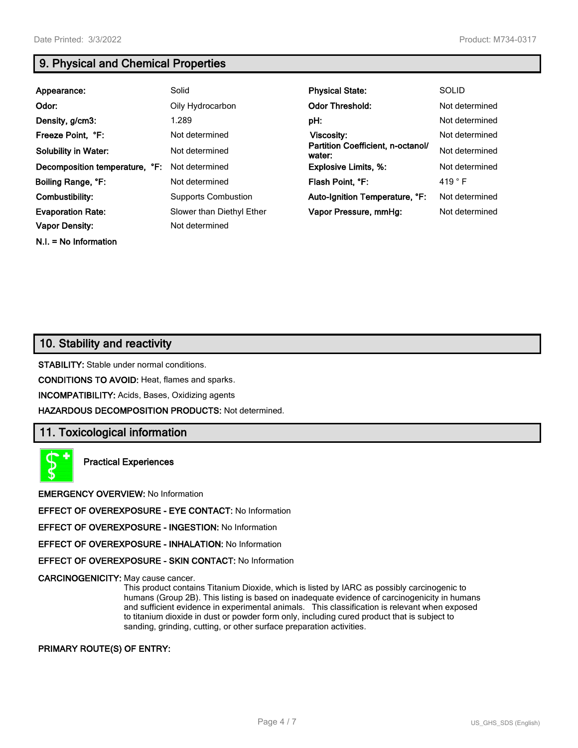**N.I. = No Information**

# **9. Physical and Chemical Properties**

| Appearance:                    | Solid                      | <b>Physical State:</b>                      | <b>SOLID</b>    |
|--------------------------------|----------------------------|---------------------------------------------|-----------------|
| Odor:                          | Oily Hydrocarbon           | <b>Odor Threshold:</b>                      | Not determined  |
| Density, g/cm3:                | 1.289                      | pH:                                         | Not determined  |
| Freeze Point, °F:              | Not determined             | <b>Viscosity:</b>                           | Not determined  |
| <b>Solubility in Water:</b>    | Not determined             | Partition Coefficient, n-octanol/<br>water: | Not determined  |
| Decomposition temperature, °F: | Not determined             | <b>Explosive Limits, %:</b>                 | Not determined  |
| Boiling Range, °F:             | Not determined             | Flash Point, °F:                            | 419 $\degree$ F |
| Combustibility:                | <b>Supports Combustion</b> | Auto-Ignition Temperature, °F:              | Not determined  |
| <b>Evaporation Rate:</b>       | Slower than Diethyl Ether  | Vapor Pressure, mmHq:                       | Not determined  |
| <b>Vapor Density:</b>          | Not determined             |                                             |                 |

# **10. Stability and reactivity**

**STABILITY:** Stable under normal conditions.

**CONDITIONS TO AVOID:** Heat, flames and sparks.

**INCOMPATIBILITY:** Acids, Bases, Oxidizing agents

**HAZARDOUS DECOMPOSITION PRODUCTS:** Not determined.

## **11. Toxicological information**

**Practical Experiences**

**EMERGENCY OVERVIEW:** No Information

**EFFECT OF OVEREXPOSURE - EYE CONTACT:** No Information

**EFFECT OF OVEREXPOSURE - INGESTION:** No Information

**EFFECT OF OVEREXPOSURE - INHALATION:** No Information

**EFFECT OF OVEREXPOSURE - SKIN CONTACT:** No Information

**CARCINOGENICITY:** May cause cancer.

This product contains Titanium Dioxide, which is listed by IARC as possibly carcinogenic to humans (Group 2B). This listing is based on inadequate evidence of carcinogenicity in humans and sufficient evidence in experimental animals. This classification is relevant when exposed to titanium dioxide in dust or powder form only, including cured product that is subject to sanding, grinding, cutting, or other surface preparation activities.

**PRIMARY ROUTE(S) OF ENTRY:**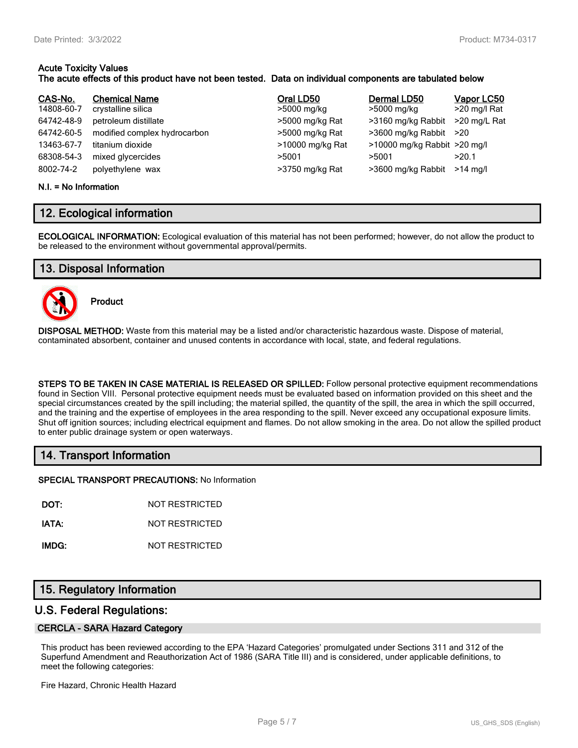# **Acute Toxicity Values**

## **The acute effects of this product have not been tested. Data on individual components are tabulated below**

| CAS-No.<br>14808-60-7<br>64742-48-9<br>64742-60-5<br>13463-67-7<br>68308-54-3<br>8002-74-2 | <b>Chemical Name</b><br>crystalline silica<br>petroleum distillate<br>modified complex hydrocarbon<br>titanium dioxide<br>mixed glycercides | Oral LD50<br>>5000 mg/kg<br>>5000 mg/kg Rat<br>>5000 mg/kg Rat<br>>10000 mg/kg Rat<br>>5001 | Dermal LD50<br>>5000 mg/kg<br>>3160 mg/kg Rabbit<br>$>3600$ mg/kg Rabbit $>20$<br>>10000 mg/kg Rabbit >20 mg/l<br>>5001 | Vapor LC50<br>>20 mg/l Rat<br>>20 mg/L Rat<br>>20.1<br>$>14$ ma/l |
|--------------------------------------------------------------------------------------------|---------------------------------------------------------------------------------------------------------------------------------------------|---------------------------------------------------------------------------------------------|-------------------------------------------------------------------------------------------------------------------------|-------------------------------------------------------------------|
|                                                                                            | polyethylene wax                                                                                                                            | >3750 mg/kg Rat                                                                             | >3600 mg/kg Rabbit                                                                                                      |                                                                   |

#### **N.I. = No Information**

## **12. Ecological information**

**ECOLOGICAL INFORMATION:** Ecological evaluation of this material has not been performed; however, do not allow the product to be released to the environment without governmental approval/permits.

## **13. Disposal Information**



**Product**

**DISPOSAL METHOD:** Waste from this material may be a listed and/or characteristic hazardous waste. Dispose of material, contaminated absorbent, container and unused contents in accordance with local, state, and federal regulations.

**STEPS TO BE TAKEN IN CASE MATERIAL IS RELEASED OR SPILLED:** Follow personal protective equipment recommendations found in Section VIII. Personal protective equipment needs must be evaluated based on information provided on this sheet and the special circumstances created by the spill including; the material spilled, the quantity of the spill, the area in which the spill occurred, and the training and the expertise of employees in the area responding to the spill. Never exceed any occupational exposure limits. Shut off ignition sources; including electrical equipment and flames. Do not allow smoking in the area. Do not allow the spilled product to enter public drainage system or open waterways.

## **14. Transport Information**

**SPECIAL TRANSPORT PRECAUTIONS:** No Information

**DOT:** NOT RESTRICTED

**IATA:** NOT RESTRICTED

**IMDG:** NOT RESTRICTED

## **15. Regulatory Information**

## **U.S. Federal Regulations:**

#### **CERCLA - SARA Hazard Category**

This product has been reviewed according to the EPA 'Hazard Categories' promulgated under Sections 311 and 312 of the Superfund Amendment and Reauthorization Act of 1986 (SARA Title III) and is considered, under applicable definitions, to meet the following categories:

Fire Hazard, Chronic Health Hazard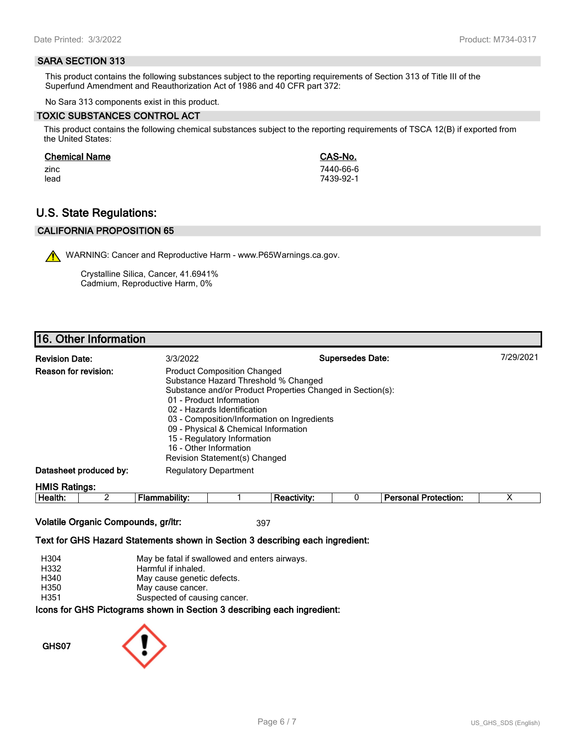#### **SARA SECTION 313**

This product contains the following substances subject to the reporting requirements of Section 313 of Title III of the Superfund Amendment and Reauthorization Act of 1986 and 40 CFR part 372:

No Sara 313 components exist in this product.

#### **TOXIC SUBSTANCES CONTROL ACT**

This product contains the following chemical substances subject to the reporting requirements of TSCA 12(B) if exported from the United States:

#### **Chemical Name CAS-No.**

zinc 7440-66-6 lead 7439-92-1

# **U.S. State Regulations:**

## **CALIFORNIA PROPOSITION 65**

WARNING: Cancer and Reproductive Harm - www.P65Warnings.ca.gov.

Crystalline Silica, Cancer, 41.6941% Cadmium, Reproductive Harm, 0%

## **16. Other Information**

| <b>Revision Date:</b>       | 3/3/2022                     | <b>Supersedes Date:</b>                                                                                                                                                                                                                                                                                                                                    | 7/29/2021 |
|-----------------------------|------------------------------|------------------------------------------------------------------------------------------------------------------------------------------------------------------------------------------------------------------------------------------------------------------------------------------------------------------------------------------------------------|-----------|
| <b>Reason for revision:</b> | 16 - Other Information       | <b>Product Composition Changed</b><br>Substance Hazard Threshold % Changed<br>Substance and/or Product Properties Changed in Section(s):<br>01 - Product Information<br>02 - Hazards Identification<br>03 - Composition/Information on Ingredients<br>09 - Physical & Chemical Information<br>15 - Regulatory Information<br>Revision Statement(s) Changed |           |
| Datasheet produced by:      | <b>Regulatory Department</b> |                                                                                                                                                                                                                                                                                                                                                            |           |
| <b>HMIS Ratings:</b>        |                              |                                                                                                                                                                                                                                                                                                                                                            |           |

| . .<br>-<br>ле<br><br><br> |  |  | - --<br>$ -$<br>.<br>лил |  |
|----------------------------|--|--|--------------------------|--|
|                            |  |  |                          |  |

## **Volatile Organic Compounds, gr/ltr:** 397

#### **Text for GHS Hazard Statements shown in Section 3 describing each ingredient:**

| H304 | May be fatal if swallowed and enters airways.                   |
|------|-----------------------------------------------------------------|
| H332 | Harmful if inhaled.                                             |
| H340 | May cause genetic defects.                                      |
| H350 | May cause cancer.                                               |
| H351 | Suspected of causing cancer.                                    |
|      | cons for GHS Pictograms shown in Section 3 describing each ingr |

# **Icons for GHS Pictograms shown in Section 3 describing each ingredient:**

**GHS07**